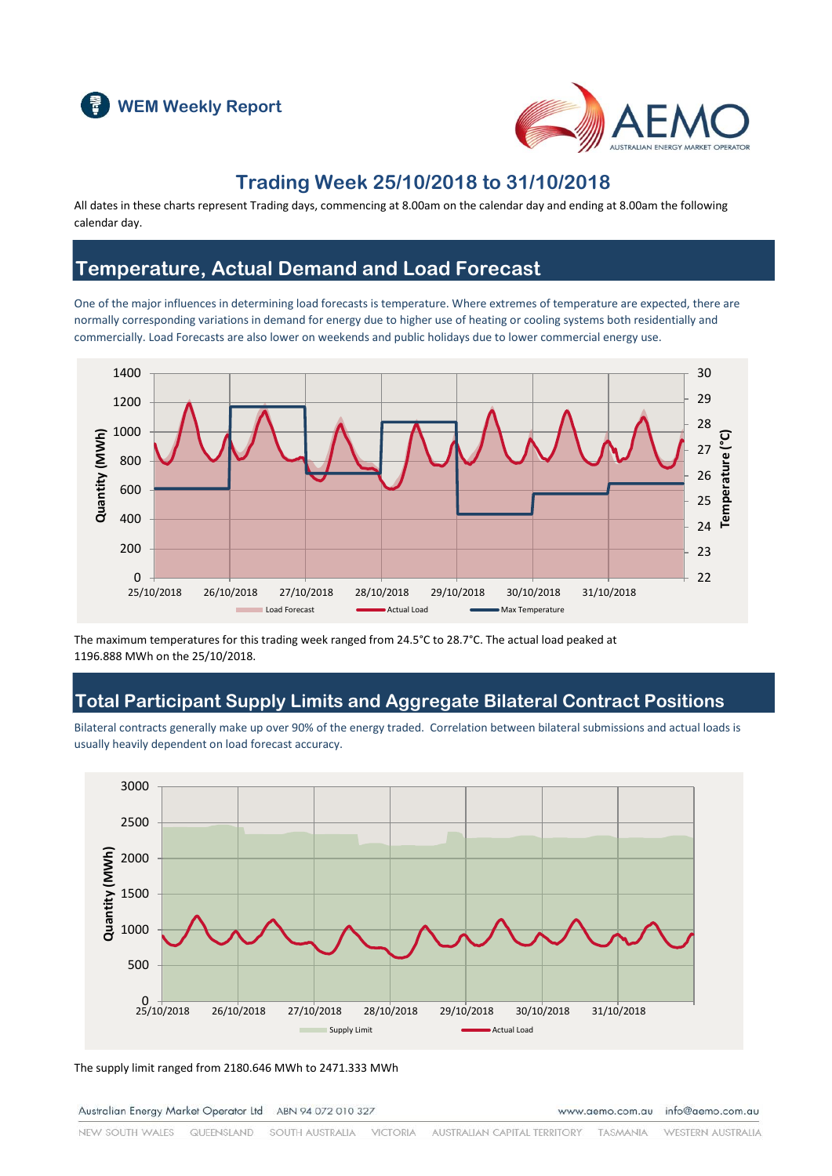



### **Trading Week 25/10/2018 to 31/10/2018**

All dates in these charts represent Trading days, commencing at 8.00am on the calendar day and ending at 8.00am the following calendar day.

### **Temperature, Actual Demand and Load Forecast**

One of the major influences in determining load forecasts is temperature. Where extremes of temperature are expected, there are normally corresponding variations in demand for energy due to higher use of heating or cooling systems both residentially and commercially. Load Forecasts are also lower on weekends and public holidays due to lower commercial energy use.



The maximum temperatures for this trading week ranged from 24.5°C to 28.7°C. The actual load peaked at 1196.888 MWh on the 25/10/2018.

### **Total Participant Supply Limits and Aggregate Bilateral Contract Positions**

Bilateral contracts generally make up over 90% of the energy traded. Correlation between bilateral submissions and actual loads is usually heavily dependent on load forecast accuracy.



The supply limit ranged from 2180.646 MWh to 2471.333 MWh

Australian Energy Market Operator Ltd ABN 94 072 010 327

www.aemo.com.au info@aemo.com.au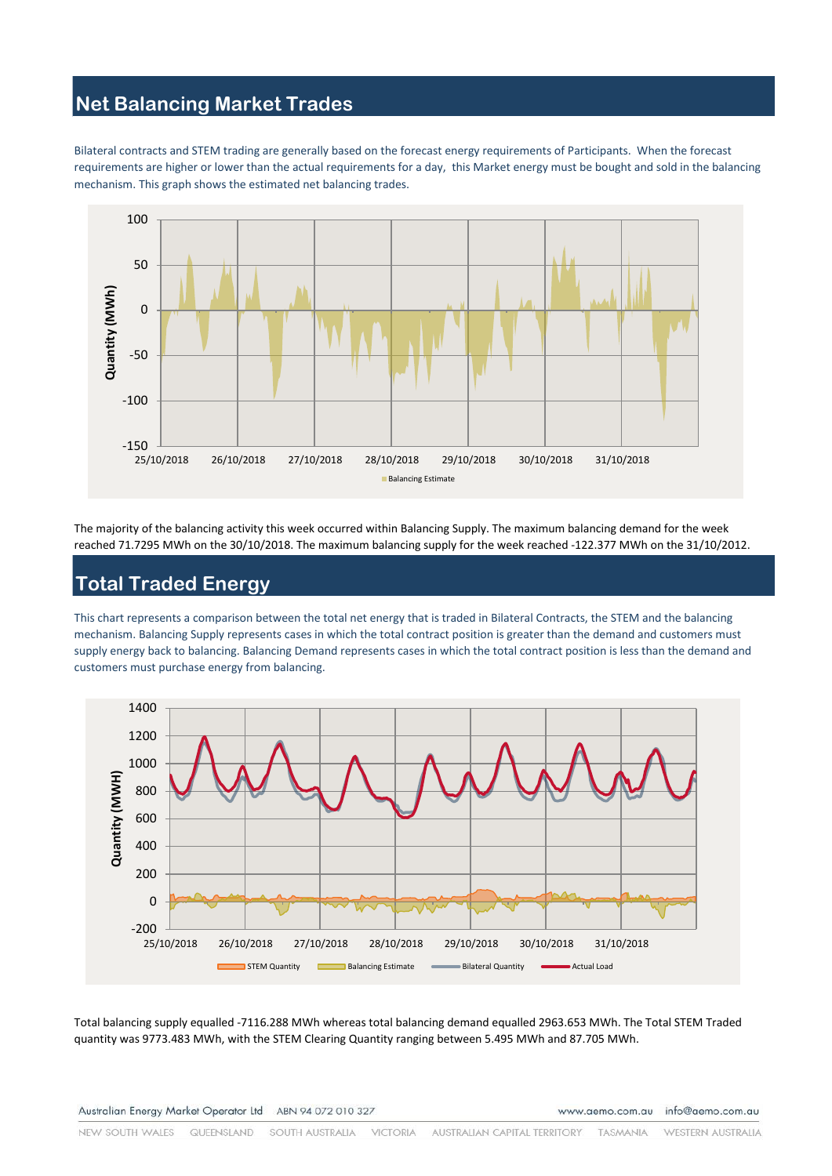# **Net Balancing Market Trades**

Bilateral contracts and STEM trading are generally based on the forecast energy requirements of Participants. When the forecast requirements are higher or lower than the actual requirements for a day, this Market energy must be bought and sold in the balancing mechanism. This graph shows the estimated net balancing trades.



The majority of the balancing activity this week occurred within Balancing Supply. The maximum balancing demand for the week reached 71.7295 MWh on the 30/10/2018. The maximum balancing supply for the week reached -122.377 MWh on the 31/10/2012.

# **Total Traded Energy**

This chart represents a comparison between the total net energy that is traded in Bilateral Contracts, the STEM and the balancing mechanism. Balancing Supply represents cases in which the total contract position is greater than the demand and customers must supply energy back to balancing. Balancing Demand represents cases in which the total contract position is less than the demand and customers must purchase energy from balancing.



Total balancing supply equalled -7116.288 MWh whereas total balancing demand equalled 2963.653 MWh. The Total STEM Traded quantity was 9773.483 MWh, with the STEM Clearing Quantity ranging between 5.495 MWh and 87.705 MWh.